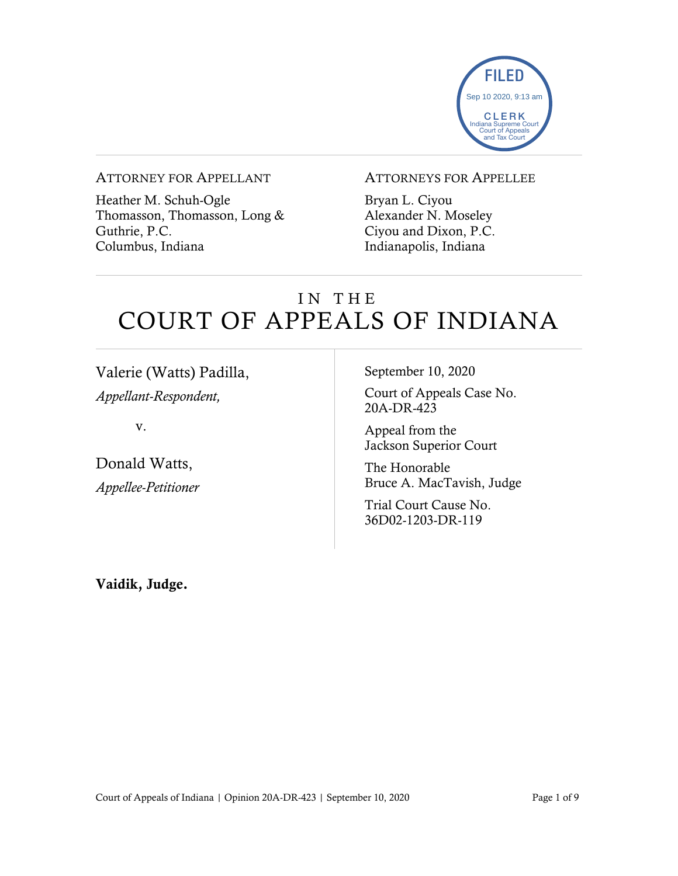

#### ATTORNEY FOR APPELLANT

Heather M. Schuh-Ogle Thomasson, Thomasson, Long & Guthrie, P.C. Columbus, Indiana

### ATTORNEYS FOR APPELLEE

Bryan L. Ciyou Alexander N. Moseley Ciyou and Dixon, P.C. Indianapolis, Indiana

# IN THE COURT OF APPEALS OF INDIANA

Valerie (Watts) Padilla, *Appellant-Respondent,*

v.

Donald Watts, *Appellee-Petitioner* September 10, 2020

Court of Appeals Case No. 20A-DR-423

Appeal from the Jackson Superior Court

The Honorable Bruce A. MacTavish, Judge

Trial Court Cause No. 36D02-1203-DR-119

Vaidik, Judge.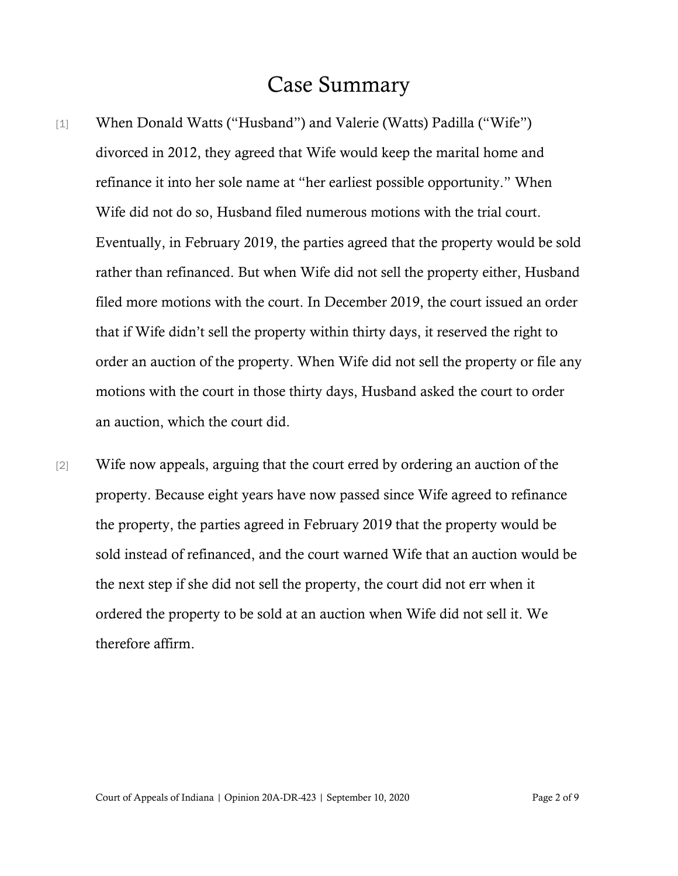### Case Summary

- [1] When Donald Watts ("Husband") and Valerie (Watts) Padilla ("Wife") divorced in 2012, they agreed that Wife would keep the marital home and refinance it into her sole name at "her earliest possible opportunity." When Wife did not do so, Husband filed numerous motions with the trial court. Eventually, in February 2019, the parties agreed that the property would be sold rather than refinanced. But when Wife did not sell the property either, Husband filed more motions with the court. In December 2019, the court issued an order that if Wife didn't sell the property within thirty days, it reserved the right to order an auction of the property. When Wife did not sell the property or file any motions with the court in those thirty days, Husband asked the court to order an auction, which the court did.
- [2] Wife now appeals, arguing that the court erred by ordering an auction of the property. Because eight years have now passed since Wife agreed to refinance the property, the parties agreed in February 2019 that the property would be sold instead of refinanced, and the court warned Wife that an auction would be the next step if she did not sell the property, the court did not err when it ordered the property to be sold at an auction when Wife did not sell it. We therefore affirm.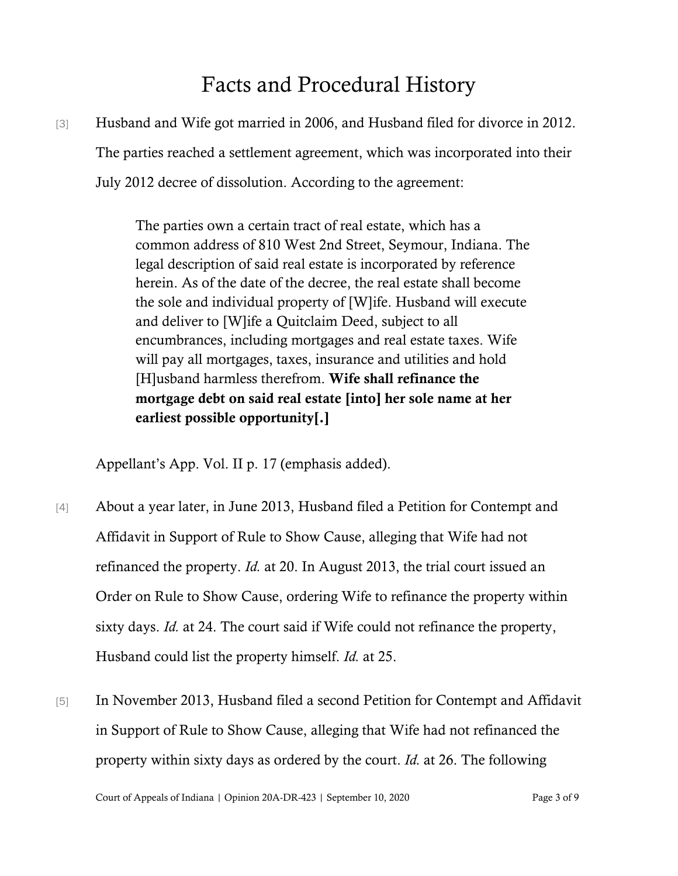# Facts and Procedural History

[3] Husband and Wife got married in 2006, and Husband filed for divorce in 2012. The parties reached a settlement agreement, which was incorporated into their July 2012 decree of dissolution. According to the agreement:

> The parties own a certain tract of real estate, which has a common address of 810 West 2nd Street, Seymour, Indiana. The legal description of said real estate is incorporated by reference herein. As of the date of the decree, the real estate shall become the sole and individual property of [W]ife. Husband will execute and deliver to [W]ife a Quitclaim Deed, subject to all encumbrances, including mortgages and real estate taxes. Wife will pay all mortgages, taxes, insurance and utilities and hold [H]usband harmless therefrom. Wife shall refinance the mortgage debt on said real estate [into] her sole name at her earliest possible opportunity[.]

Appellant's App. Vol. II p. 17 (emphasis added).

- [4] About a year later, in June 2013, Husband filed a Petition for Contempt and Affidavit in Support of Rule to Show Cause, alleging that Wife had not refinanced the property. *Id.* at 20. In August 2013, the trial court issued an Order on Rule to Show Cause, ordering Wife to refinance the property within sixty days. *Id.* at 24. The court said if Wife could not refinance the property, Husband could list the property himself. *Id.* at 25.
- [5] In November 2013, Husband filed a second Petition for Contempt and Affidavit in Support of Rule to Show Cause, alleging that Wife had not refinanced the property within sixty days as ordered by the court. *Id.* at 26. The following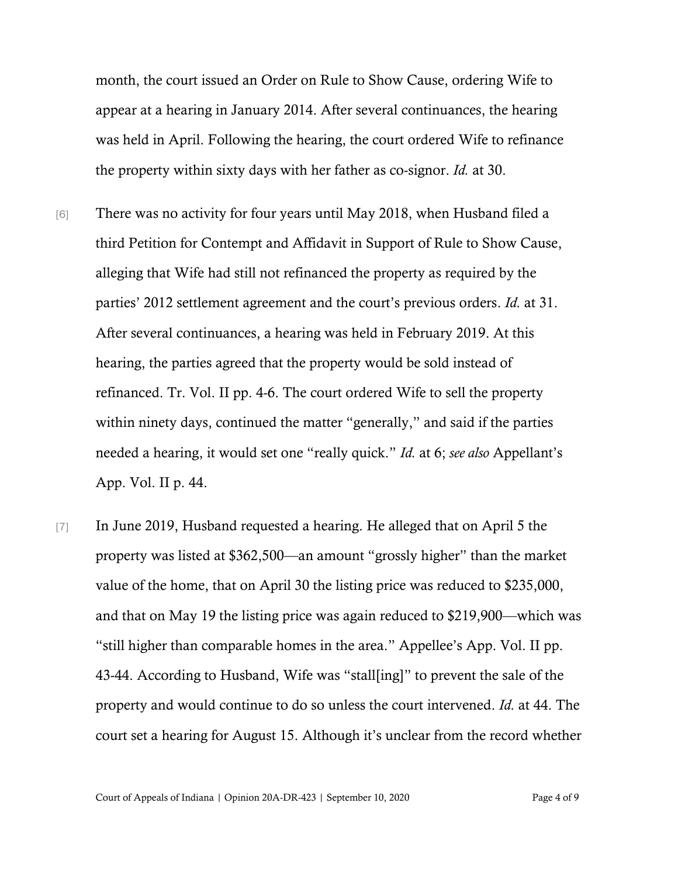month, the court issued an Order on Rule to Show Cause, ordering Wife to appear at a hearing in January 2014. After several continuances, the hearing was held in April. Following the hearing, the court ordered Wife to refinance the property within sixty days with her father as co-signor. *Id.* at 30.

- [6] There was no activity for four years until May 2018, when Husband filed a third Petition for Contempt and Affidavit in Support of Rule to Show Cause, alleging that Wife had still not refinanced the property as required by the parties' 2012 settlement agreement and the court's previous orders. *Id.* at 31. After several continuances, a hearing was held in February 2019. At this hearing, the parties agreed that the property would be sold instead of refinanced. Tr. Vol. II pp. 4-6. The court ordered Wife to sell the property within ninety days, continued the matter "generally," and said if the parties needed a hearing, it would set one "really quick." *Id.* at 6; *see also* Appellant's App. Vol. II p. 44.
- [7] In June 2019, Husband requested a hearing. He alleged that on April 5 the property was listed at \$362,500—an amount "grossly higher" than the market value of the home, that on April 30 the listing price was reduced to \$235,000, and that on May 19 the listing price was again reduced to \$219,900—which was "still higher than comparable homes in the area." Appellee's App. Vol. II pp. 43-44. According to Husband, Wife was "stall[ing]" to prevent the sale of the property and would continue to do so unless the court intervened. *Id.* at 44. The court set a hearing for August 15. Although it's unclear from the record whether

Court of Appeals of Indiana | Opinion 20A-DR-423 | September 10, 2020 Page 4 of 9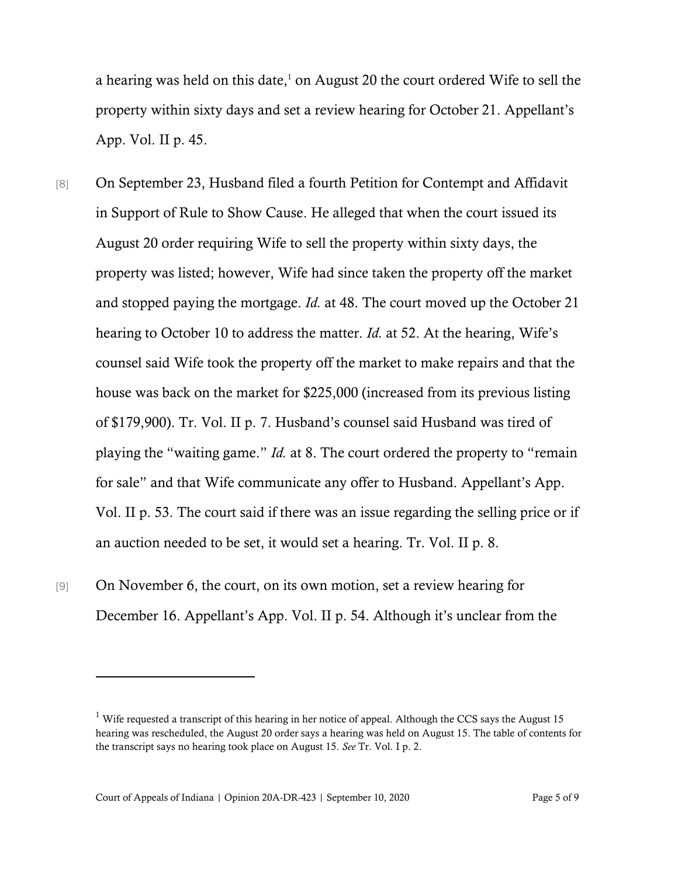a hearing was held on this date, $1$  on August 20 the court ordered Wife to sell the property within sixty days and set a review hearing for October 21. Appellant's App. Vol. II p. 45.

- [8] On September 23, Husband filed a fourth Petition for Contempt and Affidavit in Support of Rule to Show Cause. He alleged that when the court issued its August 20 order requiring Wife to sell the property within sixty days, the property was listed; however, Wife had since taken the property off the market and stopped paying the mortgage. *Id.* at 48. The court moved up the October 21 hearing to October 10 to address the matter. *Id.* at 52. At the hearing, Wife's counsel said Wife took the property off the market to make repairs and that the house was back on the market for \$225,000 (increased from its previous listing of \$179,900). Tr. Vol. II p. 7. Husband's counsel said Husband was tired of playing the "waiting game." *Id.* at 8. The court ordered the property to "remain for sale" and that Wife communicate any offer to Husband. Appellant's App. Vol. II p. 53. The court said if there was an issue regarding the selling price or if an auction needed to be set, it would set a hearing. Tr. Vol. II p. 8.
- [9] On November 6, the court, on its own motion, set a review hearing for December 16. Appellant's App. Vol. II p. 54. Although it's unclear from the

<sup>&</sup>lt;sup>1</sup> Wife requested a transcript of this hearing in her notice of appeal. Although the CCS says the August 15 hearing was rescheduled, the August 20 order says a hearing was held on August 15. The table of contents for the transcript says no hearing took place on August 15. *See* Tr. Vol. I p. 2.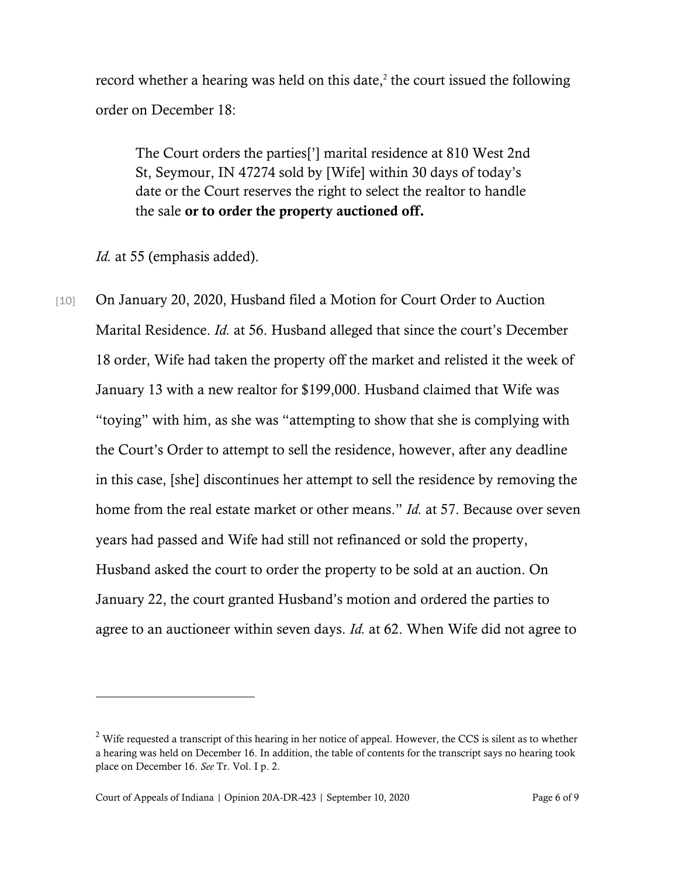record whether a hearing was held on this date, $2$  the court issued the following order on December 18:

The Court orders the parties['] marital residence at 810 West 2nd St, Seymour, IN 47274 sold by [Wife] within 30 days of today's date or the Court reserves the right to select the realtor to handle the sale or to order the property auctioned off.

*Id.* at 55 (emphasis added).

[10] On January 20, 2020, Husband filed a Motion for Court Order to Auction Marital Residence. *Id.* at 56. Husband alleged that since the court's December 18 order, Wife had taken the property off the market and relisted it the week of January 13 with a new realtor for \$199,000. Husband claimed that Wife was "toying" with him, as she was "attempting to show that she is complying with the Court's Order to attempt to sell the residence, however, after any deadline in this case, [she] discontinues her attempt to sell the residence by removing the home from the real estate market or other means." *Id.* at 57. Because over seven years had passed and Wife had still not refinanced or sold the property, Husband asked the court to order the property to be sold at an auction. On January 22, the court granted Husband's motion and ordered the parties to agree to an auctioneer within seven days. *Id.* at 62. When Wife did not agree to

 $<sup>2</sup>$  Wife requested a transcript of this hearing in her notice of appeal. However, the CCS is silent as to whether</sup> a hearing was held on December 16. In addition, the table of contents for the transcript says no hearing took place on December 16. *See* Tr. Vol. I p. 2.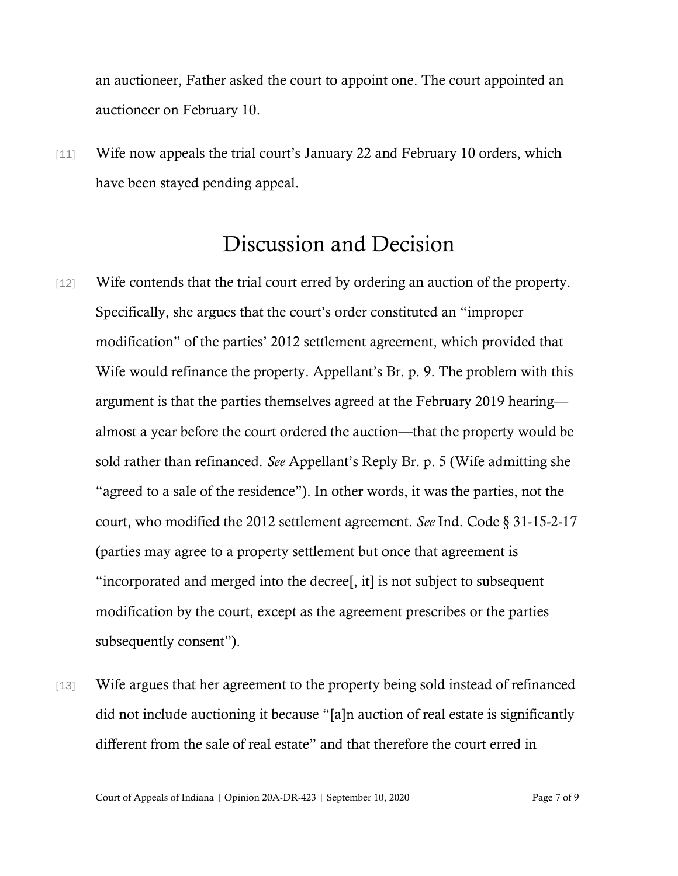an auctioneer, Father asked the court to appoint one. The court appointed an auctioneer on February 10.

[11] Wife now appeals the trial court's January 22 and February 10 orders, which have been stayed pending appeal.

## Discussion and Decision

- [12] Wife contends that the trial court erred by ordering an auction of the property. Specifically, she argues that the court's order constituted an "improper modification" of the parties' 2012 settlement agreement, which provided that Wife would refinance the property. Appellant's Br. p. 9. The problem with this argument is that the parties themselves agreed at the February 2019 hearing almost a year before the court ordered the auction—that the property would be sold rather than refinanced. *See* Appellant's Reply Br. p. 5 (Wife admitting she "agreed to a sale of the residence"). In other words, it was the parties, not the court, who modified the 2012 settlement agreement. *See* Ind. Code § 31-15-2-17 (parties may agree to a property settlement but once that agreement is "incorporated and merged into the decree[, it] is not subject to subsequent modification by the court, except as the agreement prescribes or the parties subsequently consent").
- [13] Wife argues that her agreement to the property being sold instead of refinanced did not include auctioning it because "[a]n auction of real estate is significantly different from the sale of real estate" and that therefore the court erred in

Court of Appeals of Indiana | Opinion 20A-DR-423 | September 10, 2020 Page 7 of 9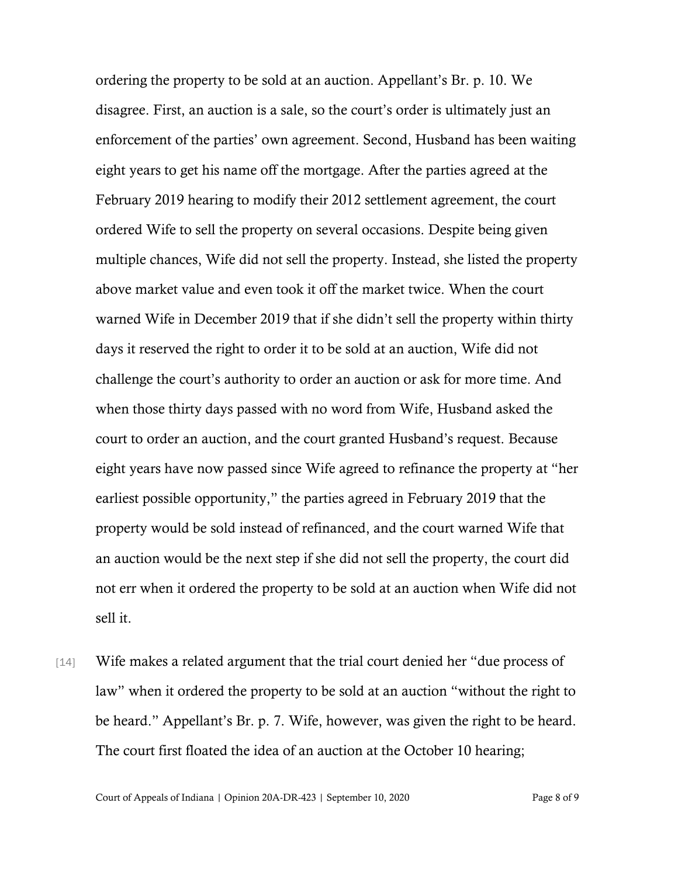ordering the property to be sold at an auction. Appellant's Br. p. 10. We disagree. First, an auction is a sale, so the court's order is ultimately just an enforcement of the parties' own agreement. Second, Husband has been waiting eight years to get his name off the mortgage. After the parties agreed at the February 2019 hearing to modify their 2012 settlement agreement, the court ordered Wife to sell the property on several occasions. Despite being given multiple chances, Wife did not sell the property. Instead, she listed the property above market value and even took it off the market twice. When the court warned Wife in December 2019 that if she didn't sell the property within thirty days it reserved the right to order it to be sold at an auction, Wife did not challenge the court's authority to order an auction or ask for more time. And when those thirty days passed with no word from Wife, Husband asked the court to order an auction, and the court granted Husband's request. Because eight years have now passed since Wife agreed to refinance the property at "her earliest possible opportunity," the parties agreed in February 2019 that the property would be sold instead of refinanced, and the court warned Wife that an auction would be the next step if she did not sell the property, the court did not err when it ordered the property to be sold at an auction when Wife did not sell it.

[14] Wife makes a related argument that the trial court denied her "due process of law" when it ordered the property to be sold at an auction "without the right to be heard." Appellant's Br. p. 7. Wife, however, was given the right to be heard. The court first floated the idea of an auction at the October 10 hearing;

Court of Appeals of Indiana | Opinion 20A-DR-423 | September 10, 2020 Page 8 of 9